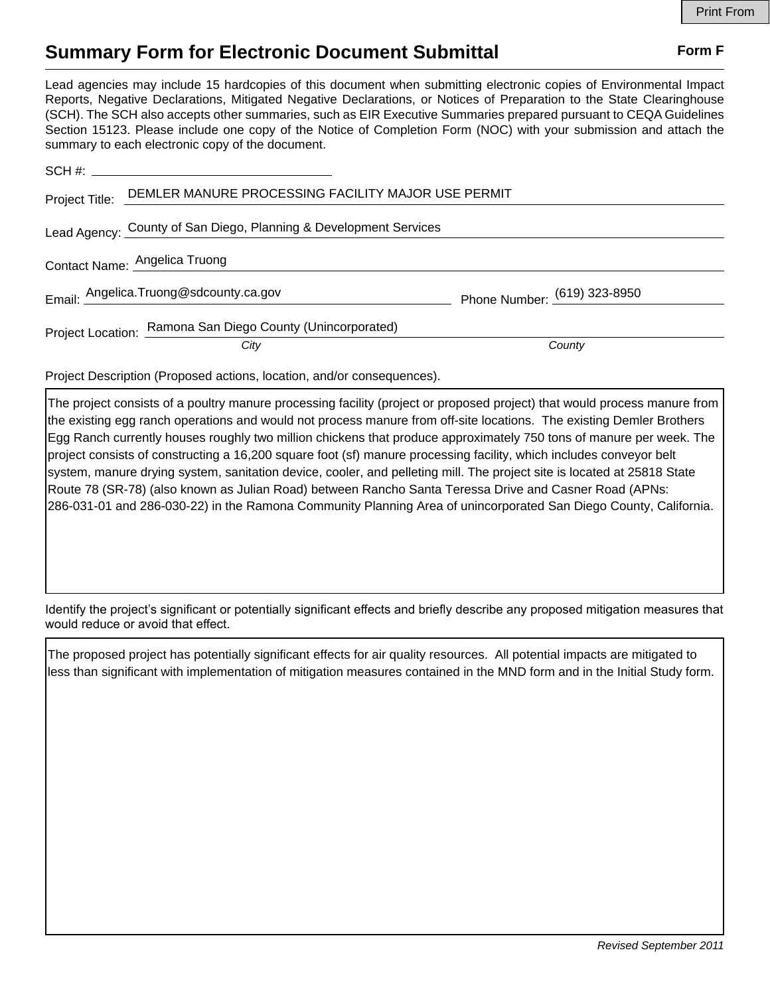## **Summary Form for Electronic Document Submittal Form F Form F**

Lead agencies may include 15 hardcopies of this document when submitting electronic copies of Environmental Impact Reports, Negative Declarations, Mitigated Negative Declarations, or Notices of Preparation to the State Clearinghouse (SCH). The SCH also accepts other summaries, such as EIR Executive Summaries prepared pursuant to CEQA Guidelines Section 15123. Please include one copy of the Notice of Completion Form (NOC) with your submission and attach the summary to each electronic copy of the document.

| Project Title: DEMLER MANURE PROCESSING FACILITY MAJOR USE PERMIT |                                |
|-------------------------------------------------------------------|--------------------------------|
| Lead Agency: County of San Diego, Planning & Development Services |                                |
| Contact Name: Angelica Truong                                     |                                |
| Email: Angelica.Truong@sdcounty.ca.gov                            | Phone Number: $(619)$ 323-8950 |
| Project Location: Ramona San Diego County (Unincorporated)        | County                         |
| City                                                              |                                |
|                                                                   |                                |

Project Description (Proposed actions, location, and/or consequences).

The project consists of a poultry manure processing facility (project or proposed project) that would process manure from the existing egg ranch operations and would not process manure from off-site locations. The existing Demler Brothers Egg Ranch currently houses roughly two million chickens that produce approximately 750 tons of manure per week. The project consists of constructing a 16,200 square foot (sf) manure processing facility, which includes conveyor belt system, manure drying system, sanitation device, cooler, and pelleting mill. The project site is located at 25818 State Route 78 (SR-78) (also known as Julian Road) between Rancho Santa Teressa Drive and Casner Road (APNs: 286-031-01 and 286-030-22) in the Ramona Community Planning Area of unincorporated San Diego County, California.

Identify the project's significant or potentially significant effects and briefly describe any proposed mitigation measures that would reduce or avoid that effect.

The proposed project has potentially significant effects for air quality resources. All potential impacts are mitigated to less than significant with implementation of mitigation measures contained in the MND form and in the Initial Study form.